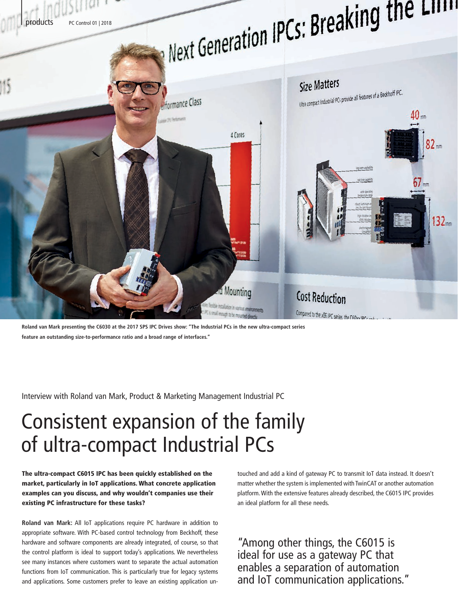

**Roland van Mark presenting the C6030 at the 2017 SPS IPC Drives show: "The Industrial PCs in the new ultra-compact series feature an outstanding size-to-performance ratio and a broad range of interfaces."**

Interview with Roland van Mark, Product & Marketing Management Industrial PC

# Consistent expansion of the family of ultra-compact Industrial PCs

The ultra-compact C6015 IPC has been quickly established on the market, particularly in IoT applications. What concrete application examples can you discuss, and why wouldn't companies use their existing PC infrastructure for these tasks?

**Roland van Mark:** All IoT applications require PC hardware in addition to appropriate software. With PC-based control technology from Beckhoff, these hardware and software components are already integrated, of course, so that the control platform is ideal to support today's applications. We nevertheless see many instances where customers want to separate the actual automation functions from IoT communication. This is particularly true for legacy systems and applications. Some customers prefer to leave an existing application un-

touched and add a kind of gateway PC to transmit IoT data instead. It doesn't matter whether the system is implemented with TwinCAT or another automation platform. With the extensive features already described, the C6015 IPC provides an ideal platform for all these needs.

"Among other things, the C6015 is ideal for use as a gateway PC that enables a separation of automation and IoT communication applications."